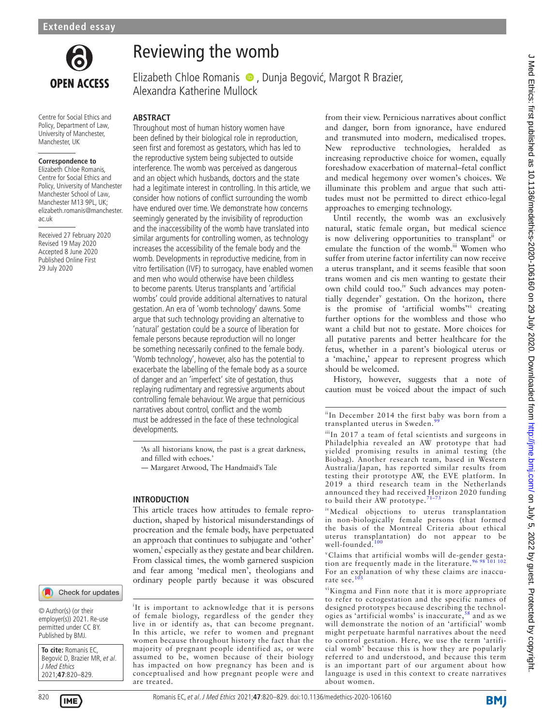

Centre for Social Ethics and Policy, Department of Law, University of Manchester, Manchester, UK

**Correspondence to** Elizabeth Chloe Romanis, Centre for Social Ethics and Policy, University of Manchester Manchester School of Law, Manchester M13 9PL, UK; elizabeth.romanis@manchester.

Received 27 February 2020 Revised 19 May 2020 Accepted 8 June 2020 Published Online First 29 July 2020

ac.uk

Reviewing the womb

ElizabethChloe Romanis (D. Dunja Begović, Margot R Brazier, Alexandra Katherine Mullock

# **ABSTRACT**

Throughout most of human history women have been defined by their biological role in reproduction, seen first and foremost as gestators, which has led to the reproductive system being subjected to outside interference. The womb was perceived as dangerous and an object which husbands, doctors and the state had a legitimate interest in controlling. In this article, we consider how notions of conflict surrounding the womb have endured over time. We demonstrate how concerns seemingly generated by the invisibility of reproduction and the inaccessibility of the womb have translated into similar arguments for controlling women, as technology increases the accessibility of the female body and the womb. Developments in reproductive medicine, from in vitro fertilisation (IVF) to surrogacy, have enabled women and men who would otherwise have been childless to become parents. Uterus transplants and 'artificial wombs' could provide additional alternatives to natural gestation. An era of 'womb technology' dawns. Some argue that such technology providing an alternative to 'natural' gestation could be a source of liberation for female persons because reproduction will no longer be something necessarily confined to the female body. 'Womb technology', however, also has the potential to exacerbate the labelling of the female body as a source of danger and an 'imperfect' site of gestation, thus replaying rudimentary and regressive arguments about controlling female behaviour. We argue that pernicious narratives about control, conflict and the womb must be addressed in the face of these technological developments.

'As all historians know, the past is a great darkness, and filled with echoes.'

― Margaret Atwood, The Handmaid's Tale

### **INTRODUCTION**

This article traces how attitudes to female reproduction, shaped by historical misunderstandings of procreation and the female body, have perpetuated an approach that continues to subjugate and 'other' women,<sup>i</sup> especially as they gestate and bear children. From classical times, the womb garnered suspicion and fear among 'medical men', theologians and ordinary people partly because it was obscured

Check for updates

© Author(s) (or their employer(s)) 2021. Re-use permitted under CC BY. Published by BMJ.

**To cite:** Romanis EC, Begović D, Brazier MR, et al. J Med Ethics 2021;**47**:820–829.



<sup>i</sup>It is important to acknowledge that it is persons of female biology, regardless of the gender they live in or identify as, that can become pregnant. In this article, we refer to women and pregnant women because throughout history the fact that the majority of pregnant people identified as, or were assumed to be, women because of their biology has impacted on how pregnancy has been and is conceptualised and how pregnant people were and are treated.

from their view. Pernicious narratives about conflict and danger, born from ignorance, have endured and transmuted into modern, medicalised tropes. New reproductive technologies, heralded as increasing reproductive choice for women, equally foreshadow exacerbation of maternal–fetal conflict and medical hegemony over women's choices. We illuminate this problem and argue that such attitudes must not be permitted to direct ethico-legal approaches to emerging technology.

Until recently, the womb was an exclusively natural, static female organ, but medical science is now delivering opportunities to transplant<sup>ii</sup> or emulate the function of the womb.<sup>iii</sup> Women who suffer from uterine factor infertility can now receive a uterus transplant, and it seems feasible that soon trans women and cis men wanting to gestate their own child could too.<sup>iv</sup> Such advances may potentially degender<sup>v</sup> gestation. On the horizon, there is the promise of 'artificial wombs'<sup>vi</sup> creating further options for the wombless and those who want a child but not to gestate. More choices for all putative parents and better healthcare for the fetus, whether in a parent's biological uterus or a 'machine,' appear to represent progress which should be welcomed.

History, however, suggests that a note of caution must be voiced about the impact of such

ivMedical objections to uterus transplantation in non-biologically female persons (that formed the basis of the Montreal Criteria about ethical uterus transplantation) do not appear to be well-founded.<sup>10</sup>

<sup>v</sup>Claims that artificial wombs will de-gender gestation are frequently made in the literature.<sup>96 98</sup> <sup>101 102</sup> For an explanation of why these claims are inaccurate see.

<sup>vi</sup>Kingma and Finn note that it is more appropriate to refer to ectogestation and the specific names of designed prototypes because describing the technol-ogies as 'artificial wombs' is inaccurate,<sup>[58](#page-8-1)</sup> and as we will demonstrate the notion of an 'artificial' womb might perpetuate harmful narratives about the need to control gestation. Here, we use the term 'artificial womb' because this is how they are popularly referred to and understood, and because this term is an important part of our argument about how language is used in this context to create narratives about women.

i<sup>i</sup>In December 2014 the first baby was born from a transplanted uterus in Sweden.<sup>9</sup>

iiiIn 2017 a team of fetal scientists and surgeons in Philadelphia revealed an AW prototype that had yielded promising results in animal testing (the Biobag). Another research team, based in Western Australia/Japan, has reported similar results from testing their prototype AW, the EVE platform. In 2019 a third research team in the Netherlands announced they had received Horizon 2020 funding to build their AW prototype. $71$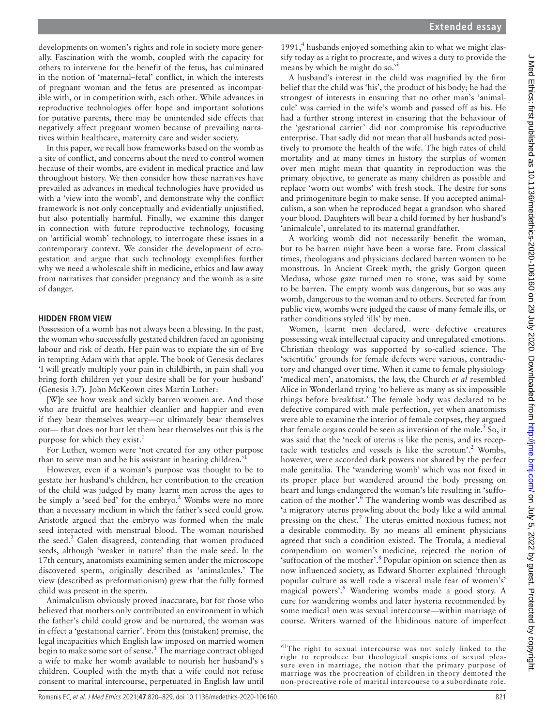developments on women's rights and role in society more generally. Fascination with the womb, coupled with the capacity for others to intervene for the benefit of the fetus, has culminated in the notion of 'maternal–fetal' conflict, in which the interests of pregnant woman and the fetus are presented as incompatible with, or in competition with, each other. While advances in reproductive technologies offer hope and important solutions for putative parents, there may be unintended side effects that negatively affect pregnant women because of prevailing narratives within healthcare, maternity care and wider society.

In this paper, we recall how frameworks based on the womb as a site of conflict, and concerns about the need to control women because of their wombs, are evident in medical practice and law throughout history. We then consider how these narratives have prevailed as advances in medical technologies have provided us with a 'view into the womb', and demonstrate why the conflict framework is not only conceptually and evidentially unjustified, but also potentially harmful. Finally, we examine this danger in connection with future reproductive technology, focusing on 'artificial womb' technology, to interrogate these issues in a contemporary context. We consider the development of ectogestation and argue that such technology exemplifies further why we need a wholescale shift in medicine, ethics and law away from narratives that consider pregnancy and the womb as a site of danger.

#### **HIDDEN FROM VIEW**

Possession of a womb has not always been a blessing. In the past, the woman who successfully gestated children faced an agonising labour and risk of death. Her pain was to expiate the sin of Eve in tempting Adam with that apple. The book of Genesis declares 'I will greatly multiply your pain in childbirth, in pain shall you bring forth children yet your desire shall be for your husband' (Genesis 3.7). John McKeown cites Martin Luther:

[W]e see how weak and sickly barren women are. And those who are fruitful are healthier cleanlier and happier and even if they bear themselves weary—or ultimately bear themselves out— that does not hurt let them bear themselves out this is the purpose for which they exist.<sup>[1](#page-8-2)</sup>

For Luther, women were 'not created for any other purpose than to serve man and be his assistant in bearing children.'[1](#page-8-2)

However, even if a woman's purpose was thought to be to gestate her husband's children, her contribution to the creation of the child was judged by many learnt men across the ages to be simply a 'seed bed' for the embryo.<sup>[2](#page-8-3)</sup> Wombs were no more than a necessary medium in which the father's seed could grow. Aristotle argued that the embryo was formed when the male seed interacted with menstrual blood. The woman nourished the seed. $2$  Galen disagreed, contending that women produced seeds, although 'weaker in nature' than the male seed. In the 17th century, anatomists examining semen under the microscope discovered sperm, originally described as 'animalcules.' The view (described as preformationism) grew that the fully formed child was present in the sperm.

Animalculism obviously proved inaccurate, but for those who believed that mothers only contributed an environment in which the father's child could grow and be nurtured, the woman was in effect a 'gestational carrier'. From this (mistaken) premise, the legal incapacities which English law imposed on married women begin to make some sort of sense.<sup>[3](#page-8-4)</sup> The marriage contract obliged a wife to make her womb available to nourish her husband's s children. Coupled with the myth that a wife could not refuse consent to marital intercourse, perpetuated in English law until

1991,<sup>[4](#page-8-5)</sup> husbands enjoyed something akin to what we might classify today as a right to procreate, and wives a duty to provide the means by which he might do so.<sup>vii</sup>

A husband's interest in the child was magnified by the firm belief that the child was 'his', the product of his body; he had the strongest of interests in ensuring that no other man's 'animalcule' was carried in the wife's womb and passed off as his. He had a further strong interest in ensuring that the behaviour of the 'gestational carrier' did not compromise his reproductive enterprise. That sadly did not mean that all husbands acted positively to promote the health of the wife. The high rates of child mortality and at many times in history the surplus of women over men might mean that quantity in reproduction was the primary objective, to generate as many children as possible and replace 'worn out wombs' with fresh stock. The desire for sons and primogeniture begin to make sense. If you accepted animalculism, a son when he reproduced begat a grandson who shared your blood. Daughters will bear a child formed by her husband's 'animalcule', unrelated to its maternal grandfather.

A working womb did not necessarily benefit the woman, but to be barren might have been a worse fate. From classical times, theologians and physicians declared barren women to be monstrous. In Ancient Greek myth, the grisly Gorgon queen Medusa, whose gaze turned men to stone, was said by some to be barren. The empty womb was dangerous, but so was any womb, dangerous to the woman and to others. Secreted far from public view, wombs were judged the cause of many female ills, or rather conditions styled 'ills' by men.

Women, learnt men declared, were defective creatures possessing weak intellectual capacity and unregulated emotions. Christian theology was supported by so-called science. The 'scientific' grounds for female defects were various, contradictory and changed over time. When it came to female physiology 'medical men', anatomists, the law, the Church *et al* resembled Alice in Wonderland trying 'to believe as many as six impossible things before breakfast.' The female body was declared to be defective compared with male perfection, yet when anatomists were able to examine the interior of female corpses, they argued that female organs could be seen as inversion of the male.<sup>[5](#page-8-6)</sup> So, it was said that the 'neck of uterus is like the penis, and its recep-tacle with testicles and vessels is like the scrotum'.<sup>[2](#page-8-3)</sup> Wombs, however, were accorded dark powers not shared by the perfect male genitalia. The 'wandering womb' which was not fixed in its proper place but wandered around the body pressing on heart and lungs endangered the woman's life resulting in 'suffo-cation of the mother'.<sup>[6](#page-8-7)</sup> The wandering womb was described as 'a migratory uterus prowling about the body like a wild animal pressing on the chest.<sup>[7](#page-8-8)</sup> The uterus emitted noxious fumes; not a desirable commodity. By no means all eminent physicians agreed that such a condition existed. The Trotula, a medieval compendium on women's medicine, rejected the notion of 'suffocation of the mother'.<sup>[8](#page-8-9)</sup> Popular opinion on science then as now influenced society, as Edward Shorter explained 'through popular culture as well rode a visceral male fear of women's' magical powers'.<sup>[9](#page-8-10)</sup> Wandering wombs made a good story. A cure for wandering wombs and later hysteria recommended by some medical men was sexual intercourse—within marriage of course. Writers warned of the libidinous nature of imperfect

viiThe right to sexual intercourse was not solely linked to the right to reproduce but theological suspicions of sexual pleasure even in marriage, the notion that the primary purpose of marriage was the procreation of children in theory demoted the non-procreative role of marital intercourse to a subordinate role.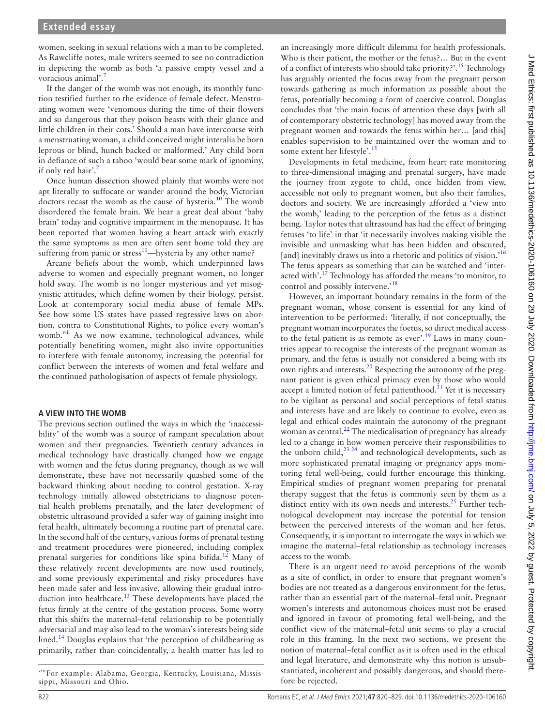women, seeking in sexual relations with a man to be completed. As Rawcliffe notes, male writers seemed to see no contradiction in depicting the womb as both 'a passive empty vessel and a voracious animal'.<sup>[7](#page-8-8)</sup>

If the danger of the womb was not enough, its monthly function testified further to the evidence of female defect. Menstruating women were 'venomous during the time of their flowers and so dangerous that they poison beasts with their glance and little children in their cots.' Should a man have intercourse with a menstruating woman, a child conceived might interalia be born leprous or blind, hunch backed or malformed.' Any child born in defiance of such a taboo 'would bear some mark of ignominy, if only red hair'.<sup>7</sup>

Once human dissection showed plainly that wombs were not apt literally to suffocate or wander around the body, Victorian doctors recast the womb as the cause of hysteria.<sup>10</sup> The womb disordered the female brain. We hear a great deal about 'baby brain' today and cognitive impairment in the menopause. It has been reported that women having a heart attack with exactly the same symptoms as men are often sent home told they are suffering from panic or  $stress<sup>11</sup>$  $stress<sup>11</sup>$  $stress<sup>11</sup>$ -hysteria by any other name?

Arcane beliefs about the womb, which underpinned laws adverse to women and especially pregnant women, no longer hold sway. The womb is no longer mysterious and yet misogynistic attitudes, which define women by their biology, persist. Look at contemporary social media abuse of female MPs. See how some US states have passed regressive laws on abortion, contra to Constitutional Rights, to police every woman's womb.<sup>viii</sup> As we now examine, technological advances, while potentially benefiting women, might also invite opportunities to interfere with female autonomy, increasing the potential for conflict between the interests of women and fetal welfare and the continued pathologisation of aspects of female physiology.

### **A VIEW INTO THE WOMB**

The previous section outlined the ways in which the 'inaccessibility' of the womb was a source of rampant speculation about women and their pregnancies. Twentieth century advances in medical technology have drastically changed how we engage with women and the fetus during pregnancy, though as we will demonstrate, these have not necessarily quashed some of the backward thinking about needing to control gestation. X-ray technology initially allowed obstetricians to diagnose potential health problems prenatally, and the later development of obstetric ultrasound provided a safer way of gaining insight into fetal health, ultimately becoming a routine part of prenatal care. In the second half of the century, various forms of prenatal testing and treatment procedures were pioneered, including complex prenatal surgeries for conditions like spina bifida.<sup>12</sup> Many of these relatively recent developments are now used routinely, and some previously experimental and risky procedures have been made safer and less invasive, allowing their gradual introduction into healthcare.<sup>13</sup> These developments have placed the fetus firmly at the centre of the gestation process. Some worry that this shifts the maternal–fetal relationship to be potentially adversarial and may also lead to the woman's interests being side lined.<sup>[14](#page-8-15)</sup> Douglas explains that 'the perception of childbearing as primarily, rather than coincidentally, a health matter has led to

an increasingly more difficult dilemma for health professionals. Who is their patient, the mother or the fetus?… But in the event of a conflict of interests who should take priority?'[.15](#page-8-16) Technology has arguably oriented the focus away from the pregnant person towards gathering as much information as possible about the fetus, potentially becoming a form of coercive control. Douglas concludes that 'the main focus of attention these days [with all of contemporary obstetric technology] has moved away from the pregnant women and towards the fetus within her… [and this] enables supervision to be maintained over the woman and to some extent her lifestyle'.[15](#page-8-16)

Developments in fetal medicine, from heart rate monitoring to three-dimensional imaging and prenatal surgery, have made the journey from zygote to child, once hidden from view, accessible not only to pregnant women, but also their families, doctors and society. We are increasingly afforded a 'view into the womb,' leading to the perception of the fetus as a distinct being. Taylor notes that ultrasound has had the effect of bringing fetuses 'to life' in that 'it necessarily involves making visible the invisible and unmasking what has been hidden and obscured, [and] inevitably draws us into a rhetoric and politics of vision.<sup>[16](#page-8-17)</sup> The fetus appears as something that can be watched and 'inter-acted with'.<sup>[17](#page-8-18)</sup> Technology has afforded the means 'to monitor, to control and possibly intervene.'<sup>[18](#page-8-19)</sup>

However, an important boundary remains in the form of the pregnant woman, whose consent is essential for any kind of intervention to be performed: 'literally, if not conceptually, the pregnant woman incorporates the foetus, so direct medical access to the fetal patient is as remote as ever'.<sup>[19](#page-8-20)</sup> Laws in many countries appear to recognise the interests of the pregnant woman as primary, and the fetus is usually not considered a being with its own rights and interests. $20$  Respecting the autonomy of the pregnant patient is given ethical primacy even by those who would accept a limited notion of fetal patienthood. $^{21}$  $^{21}$  $^{21}$  Yet it is necessary to be vigilant as personal and social perceptions of fetal status and interests have and are likely to continue to evolve, even as legal and ethical codes maintain the autonomy of the pregnant woman as central.<sup>[22](#page-8-23)</sup> The medicalisation of pregnancy has already led to a change in how women perceive their responsibilities to the unborn child, $^{23}$   $^{24}$  and technological developments, such as more sophisticated prenatal imaging or pregnancy apps monitoring fetal well-being, could further encourage this thinking. Empirical studies of pregnant women preparing for prenatal therapy suggest that the fetus is commonly seen by them as a distinct entity with its own needs and interests.<sup>25</sup> Further technological development may increase the potential for tension between the perceived interests of the woman and her fetus. Consequently, it is important to interrogate the ways in which we imagine the maternal–fetal relationship as technology increases access to the womb.

There is an urgent need to avoid perceptions of the womb as a site of conflict, in order to ensure that pregnant women's bodies are not treated as a dangerous environment for the fetus, rather than an essential part of the maternal–fetal unit. Pregnant women's interests and autonomous choices must not be erased and ignored in favour of promoting fetal well-being, and the conflict view of the maternal–fetal unit seems to play a crucial role in this framing. In the next two sections, we present the notion of maternal–fetal conflict as it is often used in the ethical and legal literature, and demonstrate why this notion is unsubstantiated, incoherent and possibly dangerous, and should therefore be rejected.

viii For example: Alabama, Georgia, Kentucky, Louisiana, Mississippi, Missouri and Ohio.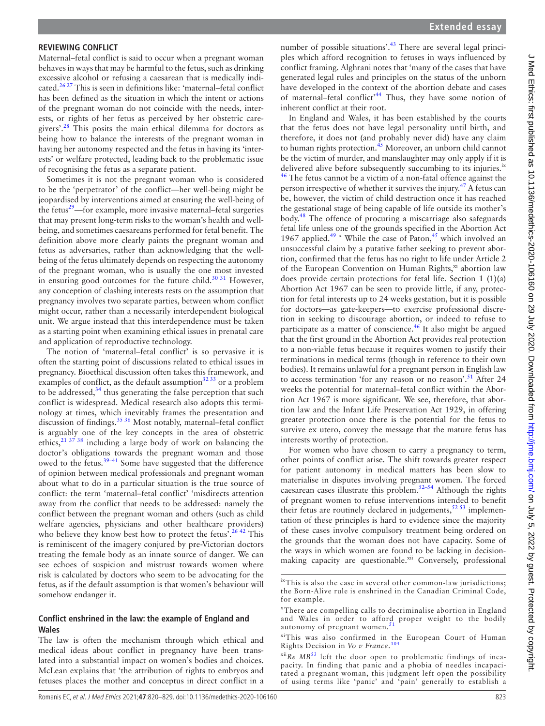# **REVIEWING CONFLICT**

Maternal–fetal conflict is said to occur when a pregnant woman behaves in ways that may be harmful to the fetus, such as drinking excessive alcohol or refusing a caesarean that is medically indicated. $2627$  This is seen in definitions like: 'maternal–fetal conflict has been defined as the situation in which the intent or actions of the pregnant woman do not coincide with the needs, interests, or rights of her fetus as perceived by her obstetric caregivers'[.28](#page-8-27) This posits the main ethical dilemma for doctors as being how to balance the interests of the pregnant woman in having her autonomy respected and the fetus in having its 'interests' or welfare protected, leading back to the problematic issue of recognising the fetus as a separate patient.

Sometimes it is not the pregnant woman who is considered to be the 'perpetrator' of the conflict—her well-being might be jeopardised by interventions aimed at ensuring the well-being of the fetus $29$ —for example, more invasive maternal–fetal surgeries that may present long-term risks to the woman's health and wellbeing, and sometimes caesareans performed for fetal benefit. The definition above more clearly paints the pregnant woman and fetus as adversaries, rather than acknowledging that the wellbeing of the fetus ultimately depends on respecting the autonomy of the pregnant woman, who is usually the one most invested in ensuring good outcomes for the future child. $30\,31$  However, any conception of clashing interests rests on the assumption that pregnancy involves two separate parties, between whom conflict might occur, rather than a necessarily interdependent biological unit. We argue instead that this interdependence must be taken as a starting point when examining ethical issues in prenatal care and application of reproductive technology.

The notion of 'maternal–fetal conflict' is so pervasive it is often the starting point of discussions related to ethical issues in pregnancy. Bioethical discussion often takes this framework, and examples of conflict, as the default assumption $3233$  or a problem to be addressed, $34$  thus generating the false perception that such conflict is widespread. Medical research also adopts this terminology at times, which inevitably frames the presentation and discussion of findings.<sup>35</sup> 36</sup> Most notably, maternal–fetal conflict is arguably one of the key concepts in the area of obstetric ethics, $21 \frac{37}{38}$  including a large body of work on balancing the doctor's obligations towards the pregnant woman and those owed to the fetus.<sup>39-41</sup> Some have suggested that the difference of opinion between medical professionals and pregnant woman about what to do in a particular situation is the true source of conflict: the term 'maternal–fetal conflict' 'misdirects attention away from the conflict that needs to be addressed: namely the conflict between the pregnant woman and others (such as child welfare agencies, physicians and other healthcare providers) who believe they know best how to protect the fetus'.<sup>26 42</sup> This is reminiscent of the imagery conjured by pre-Victorian doctors treating the female body as an innate source of danger. We can see echoes of suspicion and mistrust towards women where risk is calculated by doctors who seem to be advocating for the fetus, as if the default assumption is that women's behaviour will somehow endanger it.

## **Conflict enshrined in the law: the example of England and Wales**

number of possible situations'.<sup>43</sup> There are several legal principles which afford recognition to fetuses in ways influenced by conflict framing. Alghrani notes that 'many of the cases that have generated legal rules and principles on the status of the unborn have developed in the context of the abortion debate and cases of maternal-fetal conflict<sup>[44](#page-8-35)</sup> Thus, they have some notion of inherent conflict at their root.

In England and Wales, it has been established by the courts that the fetus does not have legal personality until birth, and therefore, it does not (and probably never did) have any claim to human rights protection.<sup>45</sup> Moreover, an unborn child cannot be the victim of murder, and manslaughter may only apply if it is delivered alive before subsequently succumbing to its injuries.<sup>ix</sup> <sup>46</sup> The fetus cannot be a victim of a non-fatal offence against the person irrespective of whether it survives the injury.<sup>47</sup> A fetus can be, however, the victim of child destruction once it has reached the gestational stage of being capable of life outside its mother's body.[48](#page-8-39) The offence of procuring a miscarriage also safeguards fetal life unless one of the grounds specified in the Abortion Act 1967 applied.<sup>[49](#page-8-40)</sup> x While the case of Paton,<sup>45</sup> which involved an unsuccessful claim by a putative father seeking to prevent abortion, confirmed that the fetus has no right to life under Article 2 of the European Convention on Human Rights,<sup>xi</sup> abortion law does provide certain protections for fetal life. Section 1 (1)(a) Abortion Act 1967 can be seen to provide little, if any, protection for fetal interests up to 24 weeks gestation, but it is possible for doctors—as gate-keepers—to exercise professional discretion in seeking to discourage abortion, or indeed to refuse to participate as a matter of conscience.<sup>46</sup> It also might be argued that the first ground in the Abortion Act provides real protection to a non-viable fetus because it requires women to justify their terminations in medical terms (though in reference to their own bodies). It remains unlawful for a pregnant person in English law to access termination 'for any reason or no reason'.<sup>[51](#page-8-41)</sup> After 24 weeks the potential for maternal–fetal conflict within the Abortion Act 1967 is more significant. We see, therefore, that abortion law and the Infant Life Preservation Act 1929, in offering greater protection once there is the potential for the fetus to survive ex utero, convey the message that the mature fetus has interests worthy of protection.

For women who have chosen to carry a pregnancy to term, other points of conflict arise. The shift towards greater respect for patient autonomy in medical matters has been slow to materialise in disputes involving pregnant women. The forced caesarean cases illustrate this problem. $52-54$  Although the rights of pregnant women to refuse interventions intended to benefit their fetus are routinely declared in judgements,  $5253$  implementation of these principles is hard to evidence since the majority of these cases involve compulsory treatment being ordered on the grounds that the woman does not have capacity. Some of the ways in which women are found to be lacking in decisionmaking capacity are questionable.<sup>xii</sup> Conversely, professional

The law is often the mechanism through which ethical and medical ideas about conflict in pregnancy have been translated into a substantial impact on women's bodies and choices. McLean explains that 'the attribution of rights to embryos and fetuses places the mother and conceptus in direct conflict in a

ixThis is also the case in several other common-law jurisdictions; the Born-Alive rule is enshrined in the Canadian Criminal Code, for example.

xThere are compelling calls to decriminalise abortion in England and Wales in order to afford proper weight to the bodily autonomy of pregnant women.<sup>5</sup>

xiThis was also confirmed in the European Court of Human Rights Decision in *Vo v France*. [104](#page-9-4)

<sup>&</sup>lt;sup>xii</sup>Re MB<sup>[53](#page-8-43)</sup> left the door open to problematic findings of incapacity. In finding that panic and a phobia of needles incapacitated a pregnant woman, this judgment left open the possibility of using terms like 'panic' and 'pain' generally to establish a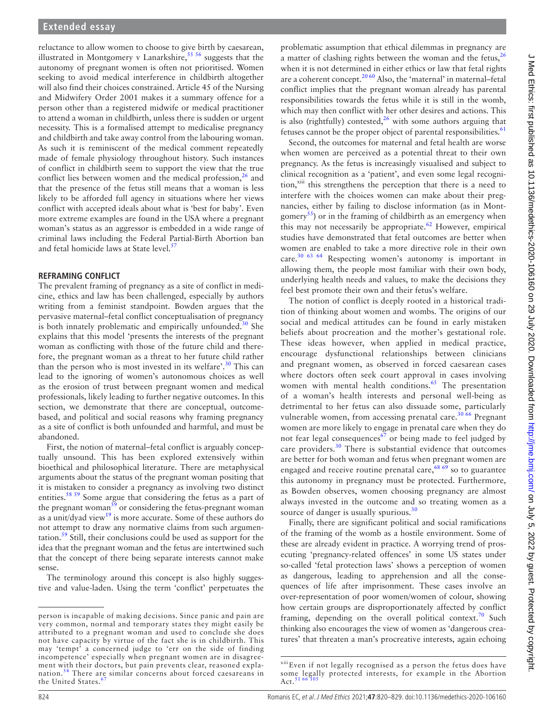reluctance to allow women to choose to give birth by caesarean, illustrated in Montgomery v Lanarkshire,<sup>[55 56](#page-8-44)</sup> suggests that the autonomy of pregnant women is often not prioritised. Women seeking to avoid medical interference in childbirth altogether will also find their choices constrained. Article 45 of the Nursing and Midwifery Order 2001 makes it a summary offence for a person other than a registered midwife or medical practitioner to attend a woman in childbirth, unless there is sudden or urgent necessity. This is a formalised attempt to medicalise pregnancy and childbirth and take away control from the labouring woman. As such it is reminiscent of the medical comment repeatedly made of female physiology throughout history. Such instances of conflict in childbirth seem to support the view that the true conflict lies between women and the medical profession, $26$  and that the presence of the fetus still means that a woman is less likely to be afforded full agency in situations where her views conflict with accepted ideals about what is 'best for baby'. Even more extreme examples are found in the USA where a pregnant woman's status as an aggressor is embedded in a wide range of criminal laws including the Federal Partial-Birth Abortion ban and fetal homicide laws at State level.<sup>[57](#page-8-45)</sup>

#### **REFRAMING CONFLICT**

The prevalent framing of pregnancy as a site of conflict in medicine, ethics and law has been challenged, especially by authors writing from a feminist standpoint. Bowden argues that the pervasive maternal–fetal conflict conceptualisation of pregnancy is both innately problematic and empirically unfounded.<sup>[30](#page-8-29)</sup> She explains that this model 'presents the interests of the pregnant woman as conflicting with those of the future child and therefore, the pregnant woman as a threat to her future child rather than the person who is most invested in its welfare'. $30$  This can lead to the ignoring of women's autonomous choices as well as the erosion of trust between pregnant women and medical professionals, likely leading to further negative outcomes. In this section, we demonstrate that there are conceptual, outcomebased, and political and social reasons why framing pregnancy as a site of conflict is both unfounded and harmful, and must be abandoned.

First, the notion of maternal–fetal conflict is arguably conceptually unsound. This has been explored extensively within bioethical and philosophical literature. There are metaphysical arguments about the status of the pregnant woman positing that it is mistaken to consider a pregnancy as involving two distinct entities.<sup>58 59</sup> Some argue that considering the fetus as a part of the pregnant woman $\frac{59}{9}$  or considering the fetus-pregnant woman as a unit/dyad view<sup>19</sup> is more accurate. Some of these authors do not attempt to draw any normative claims from such argumentation[.59](#page-8-46) Still, their conclusions could be used as support for the idea that the pregnant woman and the fetus are intertwined such that the concept of there being separate interests cannot make sense.

The terminology around this concept is also highly suggestive and value-laden. Using the term 'conflict' perpetuates the

problematic assumption that ethical dilemmas in pregnancy are a matter of clashing rights between the woman and the fetus,  $^{26}$  $^{26}$  $^{26}$ when it is not determined in either ethics or law that fetal rights are a coherent concept[.20 60](#page-8-21) Also, the 'maternal' in maternal–fetal conflict implies that the pregnant woman already has parental responsibilities towards the fetus while it is still in the womb, which may then conflict with her other desires and actions. This is also (rightfully) contested, $26$  with some authors arguing that fetuses cannot be the proper object of parental responsibilities.  $61$ 

Second, the outcomes for maternal and fetal health are worse when women are perceived as a potential threat to their own pregnancy. As the fetus is increasingly visualised and subject to clinical recognition as a 'patient', and even some legal recognition,<sup>xiii</sup> this strengthens the perception that there is a need to interfere with the choices women can make about their pregnancies, either by failing to disclose information (as in Montgomery<sup>55</sup>) or in the framing of childbirth as an emergency when this may not necessarily be appropriate.<sup>[62](#page-8-50)</sup> However, empirical studies have demonstrated that fetal outcomes are better when women are enabled to take a more directive role in their own care.<sup>30 63 64</sup> Respecting women's autonomy is important in allowing them, the people most familiar with their own body, underlying health needs and values, to make the decisions they feel best promote their own and their fetus's welfare.

The notion of conflict is deeply rooted in a historical tradition of thinking about women and wombs. The origins of our social and medical attitudes can be found in early mistaken beliefs about procreation and the mother's gestational role. These ideas however, when applied in medical practice, encourage dysfunctional relationships between clinicians and pregnant women, as observed in forced caesarean cases where doctors often seek court approval in cases involving women with mental health conditions.<sup>65</sup> The presentation of a woman's health interests and personal well-being as detrimental to her fetus can also dissuade some, particularly vulnerable women, from accessing prenatal care.<sup>30 66</sup> Pregnant women are more likely to engage in prenatal care when they do not fear legal consequences<sup>67</sup> or being made to feel judged by care providers.<sup>[30](#page-8-29)</sup> There is substantial evidence that outcomes are better for both woman and fetus when pregnant women are engaged and receive routine prenatal care,  $68\overline{69}$  so to guarantee this autonomy in pregnancy must be protected. Furthermore, as Bowden observes, women choosing pregnancy are almost always invested in the outcome and so treating women as a source of danger is usually spurious.<sup>[30](#page-8-29)</sup>

Finally, there are significant political and social ramifications of the framing of the womb as a hostile environment. Some of these are already evident in practice. A worrying trend of prosecuting 'pregnancy-related offences' in some US states under so-called 'fetal protection laws' shows a perception of women as dangerous, leading to apprehension and all the consequences of life after imprisonment. These cases involve an over-representation of poor women/women of colour, showing how certain groups are disproportionately affected by conflict framing, depending on the overall political context.<sup>70</sup> Such thinking also encourages the view of women as 'dangerous creatures' that threaten a man's procreative interests, again echoing

person is incapable of making decisions. Since panic and pain are very common, normal and temporary states they might easily be attributed to a pregnant woman and used to conclude she does not have capacity by virtue of the fact she is in childbirth. This may 'tempt' a concerned judge to 'err on the side of finding incompetence' especially when pregnant women are in disagreement with their doctors, but pain prevents clear, reasoned explanation.[54](#page-8-47) There are similar concerns about forced caesareans in the United States.

xiiiEven if not legally recognised as a person the fetus does have some legally protected interests, for example in the Abortion<br>Act.<sup>[51 66 105](#page-8-41)</sup>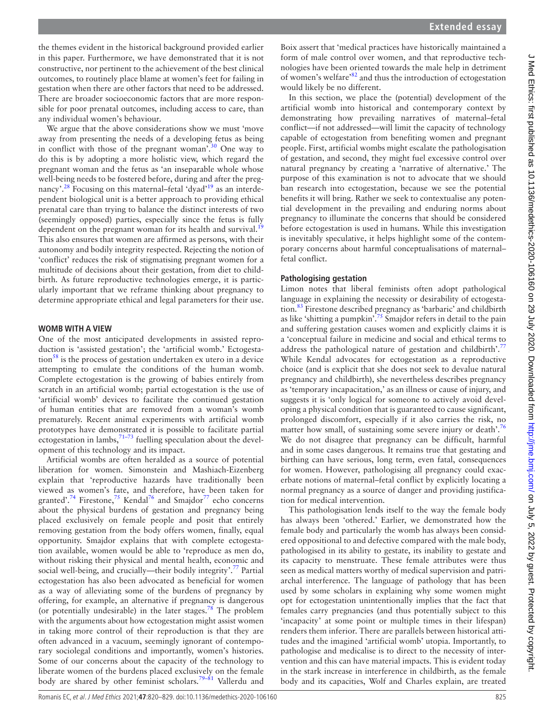the themes evident in the historical background provided earlier in this paper. Furthermore, we have demonstrated that it is not constructive, nor pertinent to the achievement of the best clinical outcomes, to routinely place blame at women's feet for failing in gestation when there are other factors that need to be addressed. There are broader socioeconomic factors that are more responsible for poor prenatal outcomes, including access to care, than any individual women's behaviour.

We argue that the above considerations show we must 'move away from presenting the needs of a developing fetus as being in conflict with those of the pregnant woman'.[30](#page-8-29) One way to do this is by adopting a more holistic view, which regard the pregnant woman and the fetus as 'an inseparable whole whose well-being needs to be fostered before, during and after the preg-nancy'.<sup>28</sup> Focusing on this maternal–fetal 'dyad'<sup>[19](#page-8-20)</sup> as an interdependent biological unit is a better approach to providing ethical prenatal care than trying to balance the distinct interests of two (seemingly opposed) parties, especially since the fetus is fully dependent on the pregnant woman for its health and survival.<sup>[19](#page-8-20)</sup> This also ensures that women are affirmed as persons, with their autonomy and bodily integrity respected. Rejecting the notion of 'conflict' reduces the risk of stigmatising pregnant women for a multitude of decisions about their gestation, from diet to childbirth. As future reproductive technologies emerge, it is particularly important that we reframe thinking about pregnancy to determine appropriate ethical and legal parameters for their use.

#### **WOMB WITH A VIEW**

One of the most anticipated developments in assisted reproduction is 'assisted gestation'; the 'artificial womb.' Ectogesta- $\frac{58}{100}$  $\frac{58}{100}$  $\frac{58}{100}$  is the process of gestation undertaken ex utero in a device attempting to emulate the conditions of the human womb. Complete ectogestation is the growing of babies entirely from scratch in an artificial womb; partial ectogestation is the use of 'artificial womb' devices to facilitate the continued gestation of human entities that are removed from a woman's womb prematurely. Recent animal experiments with artificial womb prototypes have demonstrated it is possible to facilitate partial ectogestation in lambs,  $71-73$  fuelling speculation about the development of this technology and its impact.

Artificial wombs are often heralded as a source of potential liberation for women. Simonstein and Mashiach-Eizenberg explain that 'reproductive hazards have traditionally been viewed as women's fate, and therefore, have been taken for granted'.<sup>74</sup> Firestone,<sup>[75](#page-9-6)</sup> Kendal<sup>76</sup> and Smajdor<sup>77</sup> echo concerns about the physical burdens of gestation and pregnancy being placed exclusively on female people and posit that entirely removing gestation from the body offers women, finally, equal opportunity. Smajdor explains that with complete ectogestation available, women would be able to 'reproduce as men do, without risking their physical and mental health, economic and social well-being, and crucially—their bodily integrity'.<sup>[77](#page-9-8)</sup> Partial ectogestation has also been advocated as beneficial for women as a way of alleviating some of the burdens of pregnancy by offering, for example, an alternative if pregnancy is dangerous (or potentially undesirable) in the later stages.<sup>[78](#page-9-9)</sup> The problem with the arguments about how ectogestation might assist women in taking more control of their reproduction is that they are often advanced in a vacuum, seemingly ignorant of contemporary sociolegal conditions and importantly, women's histories. Some of our concerns about the capacity of the technology to liberate women of the burdens placed exclusively on the female body are shared by other feminist scholars.<sup>79–81</sup> Vallerdu and Boix assert that 'medical practices have historically maintained a form of male control over women, and that reproductive technologies have been oriented towards the male help in detriment of women's welfare<sup>82</sup> and thus the introduction of ectogestation would likely be no different.

In this section, we place the (potential) development of the artificial womb into historical and contemporary context by demonstrating how prevailing narratives of maternal–fetal conflict—if not addressed—will limit the capacity of technology capable of ectogestation from benefiting women and pregnant people. First, artificial wombs might escalate the pathologisation of gestation, and second, they might fuel excessive control over natural pregnancy by creating a 'narrative of alternative.' The purpose of this examination is not to advocate that we should ban research into ectogestation, because we see the potential benefits it will bring. Rather we seek to contextualise any potential development in the prevailing and enduring norms about pregnancy to illuminate the concerns that should be considered before ectogestation is used in humans. While this investigation is inevitably speculative, it helps highlight some of the contemporary concerns about harmful conceptualisations of maternal– fetal conflict.

## **Pathologising gestation**

Limon notes that liberal feminists often adopt pathological language in explaining the necessity or desirability of ectogesta-tion.<sup>[83](#page-9-12)</sup> Firestone described pregnancy as 'barbaric' and childbirth as like 'shitting a pumpkin'.<sup>75</sup> Smajdor refers in detail to the pain and suffering gestation causes women and explicitly claims it is a 'conceptual failure in medicine and social and ethical terms to address the pathological nature of gestation and childbirth'.<sup>[77](#page-9-8)</sup> While Kendal advocates for ectogestation as a reproductive choice (and is explicit that she does not seek to devalue natural pregnancy and childbirth), she nevertheless describes pregnancy as 'temporary incapacitation,' as an illness or cause of injury, and suggests it is 'only logical for someone to actively avoid developing a physical condition that is guaranteed to cause significant, prolonged discomfort, especially if it also carries the risk, no matter how small, of sustaining some severe injury or death'.<sup>[76](#page-9-7)</sup> We do not disagree that pregnancy can be difficult, harmful and in some cases dangerous. It remains true that gestating and birthing can have serious, long term, even fatal, consequences for women. However, pathologising all pregnancy could exacerbate notions of maternal–fetal conflict by explicitly locating a normal pregnancy as a source of danger and providing justification for medical intervention.

This pathologisation lends itself to the way the female body has always been 'othered.' Earlier, we demonstrated how the female body and particularly the womb has always been considered oppositional to and defective compared with the male body, pathologised in its ability to gestate, its inability to gestate and its capacity to menstruate. These female attributes were thus seen as medical matters worthy of medical supervision and patriarchal interference. The language of pathology that has been used by some scholars in explaining why some women might opt for ectogestation unintentionally implies that the fact that females carry pregnancies (and thus potentially subject to this 'incapacity' at some point or multiple times in their lifespan) renders them inferior. There are parallels between historical attitudes and the imagined 'artificial womb' utopia. Importantly, to pathologise and medicalise is to direct to the necessity of intervention and this can have material impacts. This is evident today in the stark increase in interference in childbirth, as the female body and its capacities, Wolf and Charles explain, are treated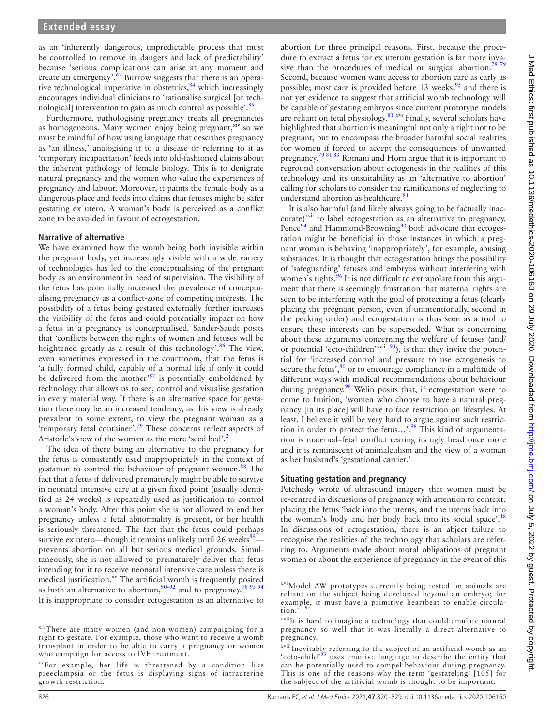as an 'inherently dangerous, unpredictable process that must be controlled to remove its dangers and lack of predictability' because 'serious complications can arise at any moment and create an emergency'.<sup>[62](#page-8-50)</sup> Burrow suggests that there is an opera-tive technological imperative in obstetrics,<sup>[84](#page-9-13)</sup> which increasingly encourages individual clinicians to 'rationalise surgical [or technological] intervention to gain as much control as possible'.<sup>85</sup>

Furthermore, pathologising pregnancy treats all pregnancies as homogeneous. Many women enjoy being pregnant, $x<sup>iv</sup>$  so we must be mindful of how using language that describes pregnancy as 'an illness,' analogising it to a disease or referring to it as 'temporary incapacitation' feeds into old-fashioned claims about the inherent pathology of female biology. This is to denigrate natural pregnancy and the women who value the experiences of pregnancy and labour. Moreover, it paints the female body as a dangerous place and feeds into claims that fetuses might be safer gestating ex utero. A woman's body is perceived as a conflict zone to be avoided in favour of ectogestation.

## **Narrative of alternative**

We have examined how the womb being both invisible within the pregnant body, yet increasingly visible with a wide variety of technologies has led to the conceptualising of the pregnant body as an environment in need of supervision. The visibility of the fetus has potentially increased the prevalence of conceptualising pregnancy as a conflict-zone of competing interests. The possibility of a fetus being gestated externally further increases the visibility of the fetus and could potentially impact on how a fetus in a pregnancy is conceptualised. Sander-Saudt posits that 'conflicts between the rights of women and fetuses will be heightened greatly as a result of this technology'.<sup>[86](#page-9-15)</sup> The view, even sometimes expressed in the courtroom, that the fetus is 'a fully formed child, capable of a normal life if only it could be delivered from the mother'<sup>87</sup> is potentially emboldened by technology that allows us to see, control and visualise gestation in every material way. If there is an alternative space for gestation there may be an increased tendency, as this view is already prevalent to some extent, to view the pregnant woman as a 'temporary fetal container'.[79](#page-9-10) These concerns reflect aspects of Aristotle's view of the woman as the mere 'seed bed'.<sup>[2](#page-8-3)</sup>

The idea of there being an alternative to the pregnancy for the fetus is consistently used inappropriately in the context of gestation to control the behaviour of pregnant women.<sup>[88](#page-9-17)</sup> The fact that a fetus if delivered prematurely might be able to survive in neonatal intensive care at a given fixed point (usually identified as 24 weeks) is repeatedly used as justification to control a woman's body. After this point she is not allowed to end her pregnancy unless a fetal abnormality is present, or her health is seriously threatened. The fact that the fetus could perhaps survive ex utero—though it remains unlikely until 26 weeks $\frac{89}{2}$  $\frac{89}{2}$  $\frac{89}{2}$  prevents abortion on all but serious medical grounds. Simultaneously, she is not allowed to prematurely deliver that fetus intending for it to receive neonatal intensive care unless there is medical justification.<sup>xv</sup> The artificial womb is frequently posited as both an alternative to abortion,  $90-92$  and to pregnancy.<sup>78</sup> 93 94 It is inappropriate to consider ectogestation as an alternative to

xivThere are many women (and non-women) campaigning for a right to gestate. For example, those who want to receive a womb transplant in order to be able to carry a pregnancy or women who campaign for access to IVF treatment.

abortion for three principal reasons. First, because the procedure to extract a fetus for ex uterum gestation is far more invasive than the procedures of medical or surgical abortion.<sup>78</sup> 79 Second, because women want access to abortion care as early as possible; most care is provided before 13 weeks,<sup>[95](#page-9-20)</sup> and there is not yet evidence to suggest that artificial womb technology will be capable of gestating embryos since current prototype models are reliant on fetal physiology.[81](#page-9-21) xvi Finally, several scholars have highlighted that abortion is meaningful not only a right not to be pregnant, but to encompass the broader harmful social realities for women if forced to accept the consequences of unwanted pregnancy[.79 81 83](#page-9-10) Romani and Horn argue that it is important to reground conversation about ectogenesis in the realities of this technology and its unsuitability as an 'alternative to abortion' calling for scholars to consider the ramifications of neglecting to understand abortion as healthcare. 81

It is also harmful (and likely always going to be factually inaccurate)<sup>xvii</sup> to label ectogestation as an alternative to pregnancy. Pence<sup>[94](#page-9-22)</sup> and Hammond-Browning<sup>[93](#page-9-23)</sup> both advocate that ectogestation might be beneficial in those instances in which a pregnant woman is behaving 'inappropriately', for example, abusing substances. It is thought that ectogestation brings the possibility of 'safeguarding' fetuses and embryos without interfering with women's rights. $96$  It is not difficult to extrapolate from this argument that there is seemingly frustration that maternal rights are seen to be interfering with the goal of protecting a fetus (clearly placing the pregnant person, even if unintentionally, second in the pecking order) and ectogestation is thus seen as a tool to ensure these interests can be superseded. What is concerning about these arguments concerning the welfare of fetuses (and/ or potential 'ecto-children'<sup>xviii 93</sup>), is that they invite the potential for 'increased control and pressure to use ectogenesis to secure the fetus',<sup>80</sup> or to encourage compliance in a multitude of different ways with medical recommendations about behaviour during pregnancy.<sup>96</sup> Welin posits that, if ectogestation were to come to fruition, 'women who choose to have a natural pregnancy [in its place] will have to face restriction on lifestyles. At least, I believe it will be very hard to argue against such restric-tion in order to protect the fetus...'.<sup>[96](#page-9-2)</sup> This kind of argumentation is maternal–fetal conflict rearing its ugly head once more and it is reminiscent of animalculism and the view of a woman as her husband's 'gestational carrier.'

### **Situating gestation and pregnancy**

Petchesky wrote of ultrasound imagery that women must be re-centred in discussions of pregnancy with attention to context; placing the fetus 'back into the uterus, and the uterus back into the woman's body and her body back into its social space'.<sup>[18](#page-8-19)</sup> In discussions of ectogestation, there is an abject failure to recognise the realities of the technology that scholars are referring to. Arguments made about moral obligations of pregnant women or about the experience of pregnancy in the event of this

xvFor example, her life is threatened by a condition like preeclampsia or the fetus is displaying signs of intrauterine growth restriction.

xvi Model AW prototypes currently being tested on animals are reliant on the subject being developed beyond an embryo; for example, it must have a primitive heartbeat to enable circulation.

xviiIt is hard to imagine a technology that could emulate natural pregnancy so well that it was literally a direct alternative to pregnancy.

xviii Inevitably referring to the subject of an artificial womb as an 'ecto-child'[93](#page-9-23) uses emotive language to describe the entity that can be potentially used to compel behaviour during pregnancy. This is one of the reasons why the term 'gestateling' [105] for the subject of the artificial womb is thought to be important.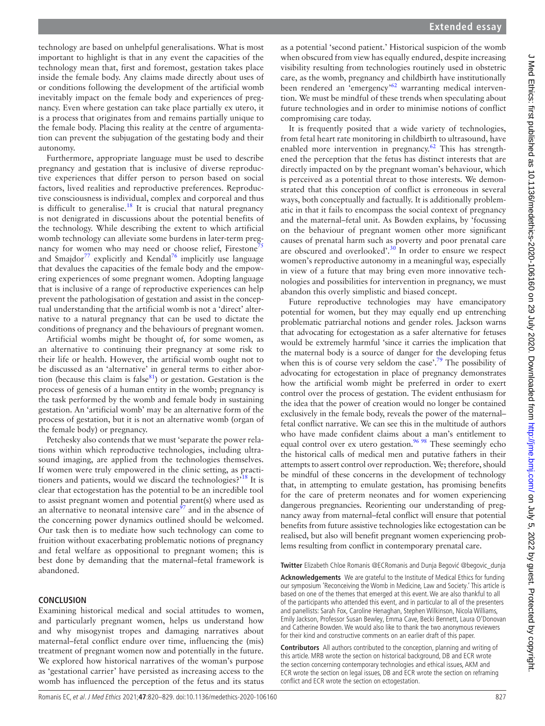technology are based on unhelpful generalisations. What is most important to highlight is that in any event the capacities of the technology mean that, first and foremost, gestation takes place inside the female body. Any claims made directly about uses of or conditions following the development of the artificial womb inevitably impact on the female body and experiences of pregnancy. Even where gestation can take place partially ex utero, it is a process that originates from and remains partially unique to the female body. Placing this reality at the centre of argumentation can prevent the subjugation of the gestating body and their autonomy.

Furthermore, appropriate language must be used to describe pregnancy and gestation that is inclusive of diverse reproductive experiences that differ person to person based on social factors, lived realities and reproductive preferences. Reproductive consciousness is individual, complex and corporeal and thus is difficult to generalise.<sup>18</sup> It is crucial that natural pregnancy is not denigrated in discussions about the potential benefits of the technology. While describing the extent to which artificial womb technology can alleviate some burdens in later-term pregnancy for women who may need or choose relief, Firestone<sup>7</sup> and Smajdor<sup>77</sup> explicitly and Kendal<sup>76</sup> implicitly use language that devalues the capacities of the female body and the empowering experiences of some pregnant women. Adopting language that is inclusive of a range of reproductive experiences can help prevent the pathologisation of gestation and assist in the conceptual understanding that the artificial womb is not a 'direct' alternative to a natural pregnancy that can be used to dictate the conditions of pregnancy and the behaviours of pregnant women.

Artificial wombs might be thought of, for some women, as an alternative to continuing their pregnancy at some risk to their life or health. However, the artificial womb ought not to be discussed as an 'alternative' in general terms to either abortion (because this claim is false $\frac{81}{1}$  $\frac{81}{1}$  $\frac{81}{1}$ ) or gestation. Gestation is the process of genesis of a human entity in the womb; pregnancy is the task performed by the womb and female body in sustaining gestation. An 'artificial womb' may be an alternative form of the process of gestation, but it is not an alternative womb (organ of the female body) or pregnancy.

Petchesky also contends that we must 'separate the power relations within which reproductive technologies, including ultrasound imaging, are applied from the technologies themselves. If women were truly empowered in the clinic setting, as practitioners and patients, would we discard the technologies?['18](#page-8-19) It is clear that ectogestation has the potential to be an incredible tool to assist pregnant women and potential parent(s) where used as an alternative to neonatal intensive care $\frac{97}{2}$  $\frac{97}{2}$  $\frac{97}{2}$  and in the absence of the concerning power dynamics outlined should be welcomed. Our task then is to mediate how such technology can come to fruition without exacerbating problematic notions of pregnancy and fetal welfare as oppositional to pregnant women; this is best done by demanding that the maternal–fetal framework is abandoned.

### **CONCLUSION**

Examining historical medical and social attitudes to women, and particularly pregnant women, helps us understand how and why misogynist tropes and damaging narratives about maternal–fetal conflict endure over time, influencing the (mis) treatment of pregnant women now and potentially in the future. We explored how historical narratives of the woman's purpose as 'gestational carrier' have persisted as increasing access to the womb has influenced the perception of the fetus and its status as a potential 'second patient.' Historical suspicion of the womb when obscured from view has equally endured, despite increasing visibility resulting from technologies routinely used in obstetric care, as the womb, pregnancy and childbirth have institutionally been rendered an 'emergency'<sup>[62](#page-8-50)</sup> warranting medical intervention. We must be mindful of these trends when speculating about future technologies and in order to minimise notions of conflict compromising care today.

It is frequently posited that a wide variety of technologies, from fetal heart rate monitoring in childbirth to ultrasound, have enabled more intervention in pregnancy.<sup>62</sup> This has strengthened the perception that the fetus has distinct interests that are directly impacted on by the pregnant woman's behaviour, which is perceived as a potential threat to those interests. We demonstrated that this conception of conflict is erroneous in several ways, both conceptually and factually. It is additionally problematic in that it fails to encompass the social context of pregnancy and the maternal–fetal unit. As Bowden explains, by 'focussing on the behaviour of pregnant women other more significant causes of prenatal harm such as poverty and poor prenatal care are obscured and overlooked'. $30$  In order to ensure we respect women's reproductive autonomy in a meaningful way, especially in view of a future that may bring even more innovative technologies and possibilities for intervention in pregnancy, we must abandon this overly simplistic and biased concept.

Future reproductive technologies may have emancipatory potential for women, but they may equally end up entrenching problematic patriarchal notions and gender roles. Jackson warns that advocating for ectogestation as a safer alternative for fetuses would be extremely harmful 'since it carries the implication that the maternal body is a source of danger for the developing fetus when this is of course very seldom the case'.<sup>79</sup> The possibility of advocating for ectogestation in place of pregnancy demonstrates how the artificial womb might be preferred in order to exert control over the process of gestation. The evident enthusiasm for the idea that the power of creation would no longer be contained exclusively in the female body, reveals the power of the maternal– fetal conflict narrative. We can see this in the multitude of authors who have made confident claims about a man's entitlement to equal control over ex utero gestation.<sup>96 98</sup> These seemingly echo the historical calls of medical men and putative fathers in their attempts to assert control over reproduction. We; therefore, should be mindful of these concerns in the development of technology that, in attempting to emulate gestation, has promising benefits for the care of preterm neonates and for women experiencing dangerous pregnancies. Reorienting our understanding of pregnancy away from maternal–fetal conflict will ensure that potential benefits from future assistive technologies like ectogestation can be realised, but also will benefit pregnant women experiencing problems resulting from conflict in contemporary prenatal care.

**Twitter** Elizabeth Chloe Romanis [@ECRomanis](https://twitter.com/ECRomanis) and Dunja Begović [@begovic\\_dunja](https://twitter.com/begovic_dunja)

**Acknowledgements** We are grateful to the Institute of Medical Ethics for funding our symposium 'Reconceiving the Womb in Medicine, Law and Society.' This article is based on one of the themes that emerged at this event. We are also thankful to all of the participants who attended this event, and in particular to all of the presenters and panellists: Sarah Fox, Caroline Henaghan, Stephen Wilkinson, Nicola Williams, Emily Jackson, Professor Susan Bewley, Emma Cave, Becki Bennett, Laura O'Donovan and Catherine Bowden. We would also like to thank the two anonymous reviewers for their kind and constructive comments on an earlier draft of this paper.

**Contributors** All authors contributed to the conception, planning and writing of this article. MRB wrote the section on historical background, DB and ECR wrote the section concerning contemporary technologies and ethical issues, AKM and ECR wrote the section on legal issues, DB and ECR wrote the section on reframing conflict and ECR wrote the section on ectogestation.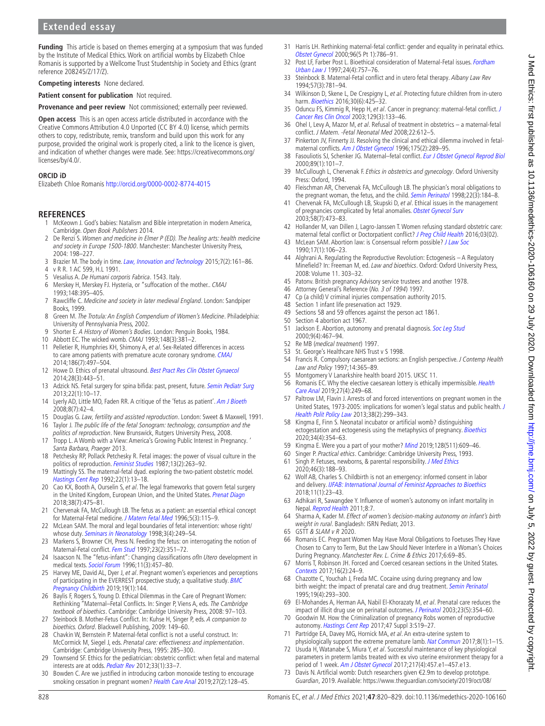# **Extended essay**

**Funding** This article is based on themes emerging at a symposium that was funded by the Institute of Medical Ethics. Work on artificial wombs by Elizabeth Chloe Romanis is supported by a Wellcome Trust Studentship in Society and Ethics (grant reference 208245/Z/17/Z).

**Competing interests** None declared.

**Patient consent for publication** Not required.

**Provenance and peer review** Not commissioned; externally peer reviewed.

**Open access** This is an open access article distributed in accordance with the Creative Commons Attribution 4.0 Unported (CC BY 4.0) license, which permits others to copy, redistribute, remix, transform and build upon this work for any purpose, provided the original work is properly cited, a link to the licence is given, and indication of whether changes were made. See: [https://creativecommons.org/](https://creativecommons.org/licenses/by/4.0/) [licenses/by/4.0/.](https://creativecommons.org/licenses/by/4.0/)

#### **ORCID iD**

Elizabeth Chloe Romanis <http://orcid.org/0000-0002-8774-4015>

#### **REFERENCES**

- <span id="page-8-2"></span>1 McKeown J. God's babies: Natalism and Bible interpretation in modern America, Cambridge. Open Book Publishers 2014.
- <span id="page-8-3"></span>2 De Renzi S. Women and medicine in Elmer P (ED). The healing arts: health medicine and society in Europe 1500-1800. Manchester: Manchester University Press, 2004: 198–227.
- <span id="page-8-4"></span>3 Brazier M. The body in time. [Law, Innovation and Technology](http://dx.doi.org/10.1080/17579961.2015.1106104) 2015;7(2):161–86.
- <span id="page-8-5"></span>4 v R R. 1 AC 599, H.L 1991.
- <span id="page-8-6"></span>5 Vesalius A. De Humani corporis Fabrica. 1543. Italy.
- <span id="page-8-7"></span>6 Merskey H, Merskey FJ. Hysteria, or "suffocation of the mother.. CMAJ 1993;148:395–405.
- <span id="page-8-8"></span>7 Rawcliffe C. Medicine and society in later medieval England. London: Sandpiper Books, 1999.
- <span id="page-8-9"></span>8 Green M. The Trotula: An English Compendium of Women's Medicine. Philadelphia: University of Pennsylvania Press, 2002.
- <span id="page-8-10"></span>9 Shorter E. A History of Women's Bodies. London: Penguin Books, 1984.
- <span id="page-8-11"></span>10 Abbott EC. The wicked womb. CMAJ 1993;148(3):381–2.
- <span id="page-8-12"></span>11 Pelletier R, Humphries KH, Shimony A, et al. Sex-Related differences in access to care among patients with premature acute coronary syndrome. [CMAJ](http://dx.doi.org/10.1503/cmaj.131450) 2014;186(7):497–504.
- <span id="page-8-13"></span>12 Howe D. Ethics of prenatal ultrasound. [Best Pract Res Clin Obstet Gynaecol](http://dx.doi.org/10.1016/j.bpobgyn.2013.10.005) 2014;28(3):443–51.
- <span id="page-8-14"></span>13 Adzick NS. Fetal surgery for spina bifida: past, present, future. [Semin Pediatr Surg](http://dx.doi.org/10.1053/j.sempedsurg.2012.10.003) 2013;22(1):10–17.
- <span id="page-8-15"></span>Lyerly AD, Little MO, Faden RR. A critique of the 'fetus as patient'. [Am J Bioeth](http://dx.doi.org/10.1080/15265160802331678) 2008;8(7):42–4.
- <span id="page-8-17"></span><span id="page-8-16"></span>15 Douglas G. Law, fertility and assisted reproduction. London: Sweet & Maxwell, 1991.<br>16 Taylor J. The public life of the fetal Sonogram: technology, consumption and the Taylor J. The public life of the fetal Sonogram: technology, consumption and the
- <span id="page-8-18"></span>politics of reproduction. New Brunswick, Rutgers University Press, 2008. 17 Tropp L. A Womb with a View: America's Growing Public Interest in Pregnancy. ' Santa Barbara, Praeger 2013.
- <span id="page-8-19"></span>18 Petchesky RP, Pollack Petchesky R. Fetal images: the power of visual culture in the politics of reproduction. [Feminist Studies](http://dx.doi.org/10.2307/3177802) 1987;13(2):263-92.
- <span id="page-8-20"></span>19 Mattingly SS. The maternal-fetal dyad. exploring the two-patient obstetric model. [Hastings Cent Rep](http://dx.doi.org/10.2307/3562716) 1992;22(1):13–18.
- <span id="page-8-21"></span>20 Cao KX, Booth A, Ourselin S, et al. The legal frameworks that govern fetal surgery in the United Kingdom, European Union, and the United States. [Prenat Diagn](http://dx.doi.org/10.1002/pd.5267) 2018;38(7):475–81.
- <span id="page-8-22"></span>21 Chervenak FA, McCullough LB. The fetus as a patient: an essential ethical concept for Maternal-Fetal medicine. [J Matern Fetal Med](http://dx.doi.org/10.1002/(SICI)1520-6661(199605/06)5:3<115::AID-MFM3>3.0.CO;2-P) 1996;5(3):115-9.
- <span id="page-8-23"></span>22 McLean SAM. The moral and legal boundaries of fetal intervention: whose right/ whose duty. [Seminars in Neonatology](http://dx.doi.org/10.1016/S1084-2756(98)80078-X) 1998;3(4):249-54.
- <span id="page-8-24"></span>23 Markens S, Browner CH, Press N. Feeding the fetus: on interrogating the notion of Maternal-Fetal conflict. [Fem Stud](http://dx.doi.org/10.2307/3178404) 1997;23(2):351-72.
- 24 Isaacson N. The "fetus-infant": Changing classifications of In Utero development in medical texts. [Sociol Forum](http://dx.doi.org/10.1007/BF02408388) 1996;11(3):457-80.
- <span id="page-8-25"></span>25 Harvey ME, David AL, Dyer J, et al. Pregnant women's experiences and perceptions of participating in the EVERREST prospective study; a qualitative study. **BMC** [Pregnancy Childbirth](http://dx.doi.org/10.1186/s12884-019-2277-8) 2019;19(1):144.
- <span id="page-8-26"></span>26 Baylis F, Rogers S, Young D. Ethical Dilemmas in the Care of Pregnant Women: Rethinking ''Maternal–Fetal Conflicts. In: Singer P, Viens A, eds. The Cambridge textbook of bioethics. Cambridge: Cambridge University Press, 2008: 97–103.
- 27 Steinbock B. Mother-Fetus Conflict. In: Kuhse H, Singer P, eds. A companion to bioethics. Oxford. Blackwell Publishing, 2009: 149–60.
- <span id="page-8-27"></span>28 Chavkin W, Bernstein P. Maternal-fetal conflict is not a useful construct. In: McCormick M, Siegel J, eds. Prenatal care: effectiveness and implementation. Cambridge: Cambridge University Press, 1995: 285–300.
- <span id="page-8-28"></span>29 Townsend SF. Ethics for the pediatrician: obstetric conflict: when fetal and maternal interests are at odds. [Pediatr Rev](http://dx.doi.org/10.1542/pir.33-1-33) 2012;33(1):33-7.
- <span id="page-8-29"></span>30 Bowden C. Are we justified in introducing carbon monoxide testing to encourage smoking cessation in pregnant women? [Health Care Anal](http://dx.doi.org/10.1007/s10728-018-0364-z) 2019;27(2):128-45.
- 31 Harris LH. Rethinking maternal-fetal conflict: gender and equality in perinatal ethics. [Obstet Gynecol](http://dx.doi.org/10.1016/s0029-7844(00)01021-8) 2000;96(5 Pt 1):786–91.
- <span id="page-8-30"></span>32 Post LF, Farber Post L. Bioethical consideration of Maternal-Fetal issues. Fordham [Urban Law J](http://www.ncbi.nlm.nih.gov/pubmed/12455510) 1997;24(4):757–76.
- 33 Steinbock B. Maternal-Fetal conflict and in utero fetal therapy. Albany Law Rev 1994;57(3):781–94.
- <span id="page-8-31"></span>34 Wilkinson D, Skene L, De Crespigny L, et al. Protecting future children from in-utero harm. *[Bioethics](http://dx.doi.org/10.1111/bioe.12238)* 2016;30(6):425-32.
- <span id="page-8-32"></span>35 Oduncu FS, Kimmig R, Hepp H, et al. Cancer in pregnancy: maternal-fetal conflict. J [Cancer Res Clin Oncol](http://dx.doi.org/10.1007/s00432-002-0406-6) 2003;129(3):133–46.
- 36 Ohel I, Levy A, Mazor M, et al. Refusal of treatment in obstetrics a maternal-fetal conflict. J Matern. -Fetal Neonatal Med 2008;22:612–5.
- Pinkerton JV, Finnerty JJ. Resolving the clinical and ethical dilemma involved in fetalmaternal conflicts. [Am J Obstet Gynecol](http://dx.doi.org/10.1016/S0002-9378(96)70137-0) 1996;175(2):289–95.
- 38 Fasouliotis SJ, Schenker JG. Maternal–fetal conflict. [Eur J Obstet Gynecol Reprod Biol](http://dx.doi.org/10.1016/S0301-2115(99)00166-9) 2000;89(1):101–7.
- <span id="page-8-33"></span>39 McCullough L, Chervenak F. Ethics in obstetrics and gynecology. Oxford University Press: Oxford, 1994.
- 40 Fleischman AR, Chervenak FA, McCullough LB. The physician's moral obligations to the pregnant woman, the fetus, and the child. [Semin Perinatol](http://dx.doi.org/10.1016/S0146-0005(98)80033-5) 1998;22(3):184-8.
- 41 Chervenak FA, McCullough LB, Skupski D, et al. Ethical issues in the management of pregnancies complicated by fetal anomalies. [Obstet Gynecol Surv](http://dx.doi.org/10.1097/01.OGX.0000071485.75220.AE) 2003;58(7):473–83.
- 42 Hollander M, van Dillen J, Lagro-Janssen T. Women refusing standard obstetric care: maternal fetal conflict or Doctorpatient conflict? [J Preg Child Health](http://dx.doi.org/10.4172/2376-127X.1000251) 2016;03(02).
- <span id="page-8-34"></span>43 McLean SAM. Abortion law: is Consensual reform possible? [J Law Soc](http://dx.doi.org/10.2307/1409958) 1990;17(1):106–23.
- <span id="page-8-35"></span>44 Alghrani A. Regulating the Reproductive Revolution: Ectogenesis – A Regulatory Minefield? In: Freeman M, ed. Law and bioethics. Oxford: Oxford University Press, 2008: Volume 11. 303–32.
- <span id="page-8-36"></span>45 Patonv. British pregnancy Advisory service trustees and another 1978.
- <span id="page-8-37"></span>46 Attorney General's Reference (No. 3 of 1994) 1997.
- <span id="page-8-38"></span>47 Cp (a child) V criminal injuries compensation authority 2015.<br>48 Section 1 infant life preservation act 1929.
- <span id="page-8-39"></span>Section 1 infant life preservation act 1929.
- <span id="page-8-40"></span>49 Sections 58 and 59 offences against the person act 1861.
- 
- <span id="page-8-41"></span>50 Section 4 abortion act 1967. Jackson E. Abortion, autonomy and prenatal diagnosis. [Soc Leg Stud](http://dx.doi.org/10.1177/096466390000900401) 2000;9(4):467–94.
- <span id="page-8-42"></span>52 Re MB (medical treatment) 1997.
- <span id="page-8-43"></span>53 St. George's Healthcare NHS Trust v S 1998.
- <span id="page-8-47"></span>54 Francis R. Compulsory caesarean sections: an English perspective. J Contemp Health Law and Policy 1997;14:365–89.
- <span id="page-8-44"></span>55 Montgomery V Lanarkshire health board 2015. UKSC 11.
- 56 Romanis EC. Why the elective caesarean lottery is ethically impermissible. [Health](http://dx.doi.org/10.1007/s10728-019-00370-0)  [Care Anal](http://dx.doi.org/10.1007/s10728-019-00370-0) 2019;27(4):249–68.
- <span id="page-8-45"></span>57 Paltrow LM, Flavin J. Arrests of and forced interventions on pregnant women in the United States, 1973-2005: implications for women's legal status and public health. [J](http://dx.doi.org/10.1215/03616878-1966324)  [Health Polit Policy Law](http://dx.doi.org/10.1215/03616878-1966324) 2013;38(2):299–343.
- <span id="page-8-1"></span>58 Kingma E, Finn S. Neonatal incubator or artificial womb? distinguishing ectogestation and ectogenesis using the metaphysics of pregnancy. [Bioethics](http://dx.doi.org/10.1111/bioe.12717) 2020;34(4):354–63.
- <span id="page-8-46"></span>59 Kingma E. Were you a part of your mother? [Mind](http://dx.doi.org/10.1093/mind/fzy087) 2019;128(511):609–46.
- 60 Singer P. Practical ethics. Cambridge: Cambridge University Press, 1993.
- <span id="page-8-49"></span>Singh P. Fetuses, newborns, & parental responsibility. [J Med Ethics](http://dx.doi.org/10.1136/medethics-2019-105592) 2020;46(3):188–93.
- <span id="page-8-50"></span>62 Wolf AB, Charles S. Childbirth is not an emergency: informed consent in labor and delivery. [IJFAB: International Journal of Feminist Approaches to Bioethics](http://dx.doi.org/10.3138/ijfab.11.1.23) 2018;11(1):23–43.
- 63 Adhikari R, Sawangdee Y. Influence of women's autonomy on infant mortality in Nepal. [Reprod Health](http://dx.doi.org/10.1186/1742-4755-8-7) 2011;8:7.
- 64 Sharma A, Kader M. Effect of women's decision-making autonomy on infant's birth weight in rural. Bangladesh: ISRN Pediatr, 2013.
- <span id="page-8-51"></span>65 GSTT & SLAM v R 2020.
- 66 Romanis EC. Pregnant Women May Have Moral Obligations to Foetuses They Have Chosen to Carry to Term, But the Law Should Never Interfere in a Woman's Choices During Pregnancy. Manchester Rev. L. Crime & Ethics 2017;6:69–85.
- <span id="page-8-48"></span>67 Morris T, Robinson JH. Forced and Coerced cesarean sections in the United States. [Contexts](http://dx.doi.org/10.1177/1536504217714259) 2017;16(2):24–9.
- <span id="page-8-52"></span>68 Chazotte C, Youchah J, Freda MC. Cocaine using during pregnancy and low birth weight: the impact of prenatal care and drug treatment. [Semin Perinatol](http://dx.doi.org/10.1016/S0146-0005(05)80044-8) 1995;19(4):293–300.
- 69 El-Mohandes A, Herman AA, Nabil El-Khorazaty M, et al. Prenatal care reduces the impact of illicit drug use on perinatal outcomes. [J Perinatol](http://dx.doi.org/10.1038/sj.jp.7210933) 2003;23(5):354–60.
- <span id="page-8-53"></span>70 Goodwin M. How the Criminalization of pregnancy Robs women of reproductive autonomy. [Hastings Cent Rep](http://dx.doi.org/10.1002/hast.791) 2017;47 Suppl 3:S19-27.
- <span id="page-8-0"></span>Partridge EA, Davey MG, Hornick MA, et al. An extra-uterine system to physiologically support the extreme premature lamb. [Nat Commun](http://dx.doi.org/10.1038/ncomms15112) 2017;8(1):1-15.
- 72 Usuda H, Watanabe S, Miura Y, et al. Successful maintenance of key physiological parameters in preterm lambs treated with ex vivo uterine environment therapy for a period of 1 week. [Am J Obstet Gynecol](http://dx.doi.org/10.1016/j.ajog.2017.05.046) 2017;217(4):457.e1–457.e13.
- 73 Davis N. Artificial womb: Dutch researchers given €2.9m to develop prototype. Guardian, 2019. Available: [https://www.theguardian.com/society/2019/oct/08/](https://www.theguardian.com/society/2019/oct/08/artificial-womb-dutch-researchers-given-29m-to-develop-prototype)